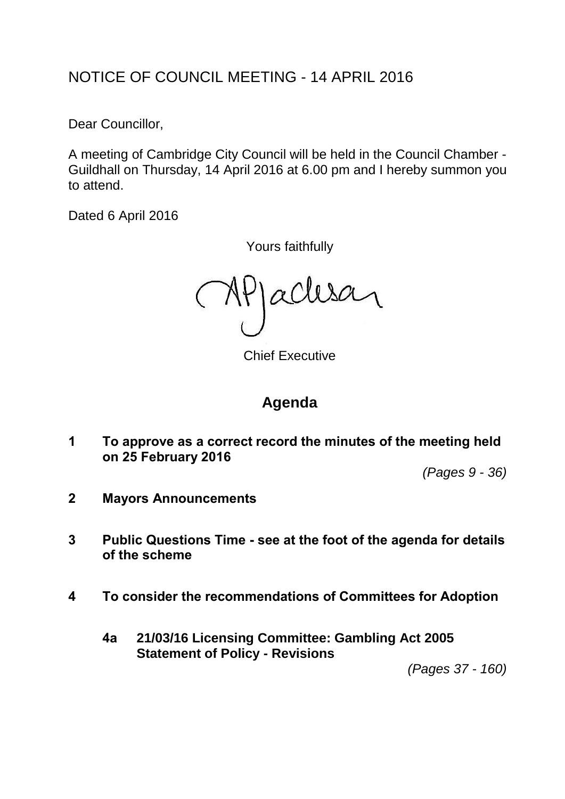# NOTICE OF COUNCIL MEETING - 14 APRIL 2016

Dear Councillor,

A meeting of Cambridge City Council will be held in the Council Chamber - Guildhall on Thursday, 14 April 2016 at 6.00 pm and I hereby summon you to attend.

Dated 6 April 2016

Yours faithfully

acles  $( N<sub>k</sub>$ 

Chief Executive

# **Agenda**

**1 To approve as a correct record the minutes of the meeting held on 25 February 2016**

*(Pages 9 - 36)*

- **2 Mayors Announcements**
- **3 Public Questions Time - see at the foot of the agenda for details of the scheme**
- **4 To consider the recommendations of Committees for Adoption**
	- **4a 21/03/16 Licensing Committee: Gambling Act 2005 Statement of Policy - Revisions**

*(Pages 37 - 160)*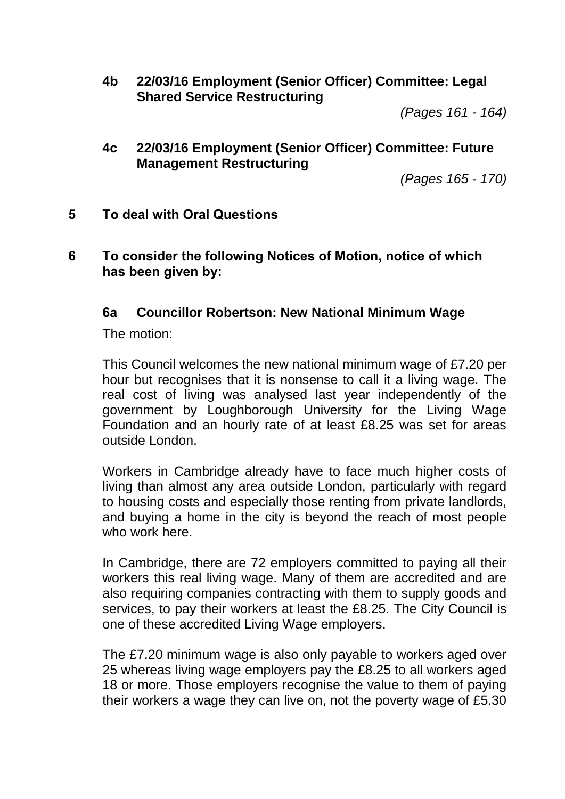**4b 22/03/16 Employment (Senior Officer) Committee: Legal Shared Service Restructuring**

*(Pages 161 - 164)*

**4c 22/03/16 Employment (Senior Officer) Committee: Future Management Restructuring**

*(Pages 165 - 170)*

- **5 To deal with Oral Questions**
- **6 To consider the following Notices of Motion, notice of which has been given by:**

#### **6a Councillor Robertson: New National Minimum Wage**

The motion:

This Council welcomes the new national minimum wage of £7.20 per hour but recognises that it is nonsense to call it a living wage. The real cost of living was analysed last year independently of the government by Loughborough University for the Living Wage Foundation and an hourly rate of at least £8.25 was set for areas outside London.

Workers in Cambridge already have to face much higher costs of living than almost any area outside London, particularly with regard to housing costs and especially those renting from private landlords, and buying a home in the city is beyond the reach of most people who work here.

In Cambridge, there are 72 employers committed to paying all their workers this real living wage. Many of them are accredited and are also requiring companies contracting with them to supply goods and services, to pay their workers at least the £8.25. The City Council is one of these accredited Living Wage employers.

The £7.20 minimum wage is also only payable to workers aged over 25 whereas living wage employers pay the £8.25 to all workers aged 18 or more. Those employers recognise the value to them of paying their workers a wage they can live on, not the poverty wage of £5.30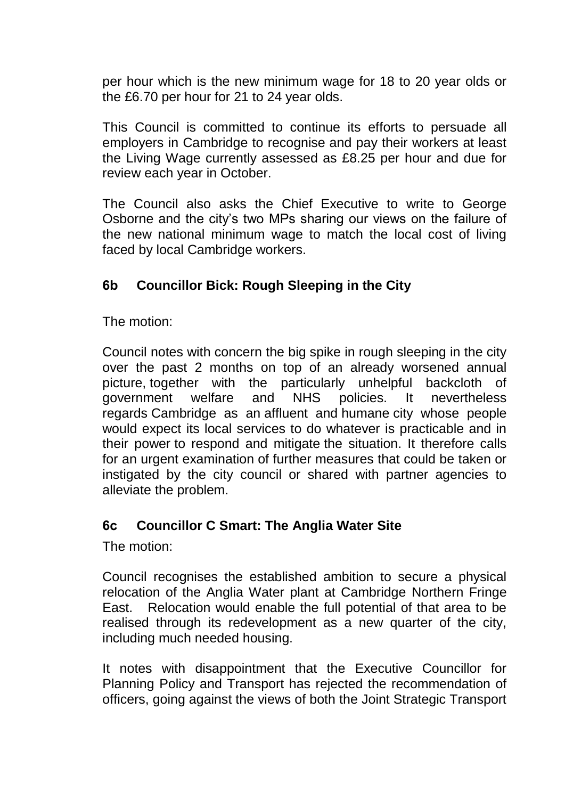per hour which is the new minimum wage for 18 to 20 year olds or the £6.70 per hour for 21 to 24 year olds.

This Council is committed to continue its efforts to persuade all employers in Cambridge to recognise and pay their workers at least the Living Wage currently assessed as £8.25 per hour and due for review each year in October.

The Council also asks the Chief Executive to write to George Osborne and the city's two MPs sharing our views on the failure of the new national minimum wage to match the local cost of living faced by local Cambridge workers.

### **6b Councillor Bick: Rough Sleeping in the City**

The motion:

Council notes with concern the big spike in rough sleeping in the city over the past 2 months on top of an already worsened annual picture, together with the particularly unhelpful backcloth of government welfare and NHS policies. It nevertheless regards Cambridge as an affluent and humane city whose people would expect its local services to do whatever is practicable and in their power to respond and mitigate the situation. It therefore calls for an urgent examination of further measures that could be taken or instigated by the city council or shared with partner agencies to alleviate the problem.

#### **6c Councillor C Smart: The Anglia Water Site**

The motion:

Council recognises the established ambition to secure a physical relocation of the Anglia Water plant at Cambridge Northern Fringe East. Relocation would enable the full potential of that area to be realised through its redevelopment as a new quarter of the city, including much needed housing.

It notes with disappointment that the Executive Councillor for Planning Policy and Transport has rejected the recommendation of officers, going against the views of both the Joint Strategic Transport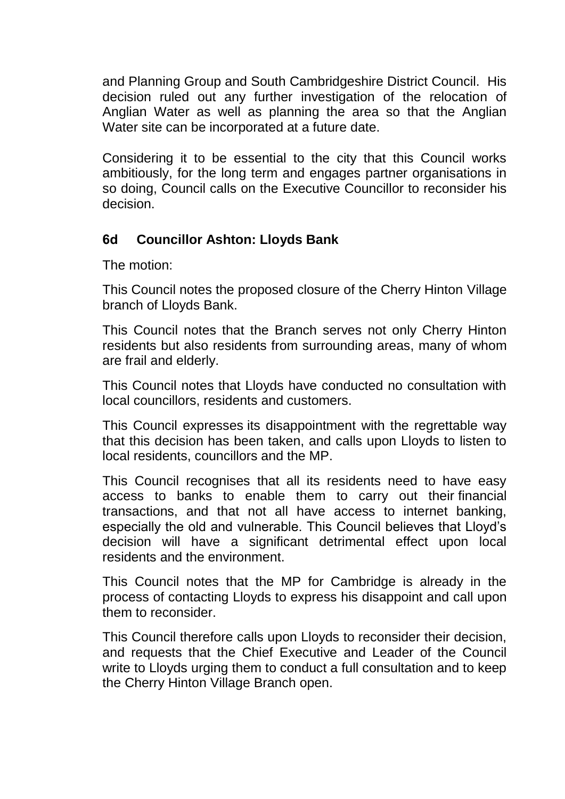and Planning Group and South Cambridgeshire District Council. His decision ruled out any further investigation of the relocation of Anglian Water as well as planning the area so that the Anglian Water site can be incorporated at a future date.

Considering it to be essential to the city that this Council works ambitiously, for the long term and engages partner organisations in so doing, Council calls on the Executive Councillor to reconsider his decision.

#### **6d Councillor Ashton: Lloyds Bank**

The motion:

This Council notes the proposed closure of the Cherry Hinton Village branch of Lloyds Bank.

This Council notes that the Branch serves not only Cherry Hinton residents but also residents from surrounding areas, many of whom are frail and elderly.

This Council notes that Lloyds have conducted no consultation with local councillors, residents and customers.

This Council expresses its disappointment with the regrettable way that this decision has been taken, and calls upon Lloyds to listen to local residents, councillors and the MP.

This Council recognises that all its residents need to have easy access to banks to enable them to carry out their financial transactions, and that not all have access to internet banking, especially the old and vulnerable. This Council believes that Lloyd's decision will have a significant detrimental effect upon local residents and the environment.

This Council notes that the MP for Cambridge is already in the process of contacting Lloyds to express his disappoint and call upon them to reconsider.

This Council therefore calls upon Lloyds to reconsider their decision, and requests that the Chief Executive and Leader of the Council write to Lloyds urging them to conduct a full consultation and to keep the Cherry Hinton Village Branch open.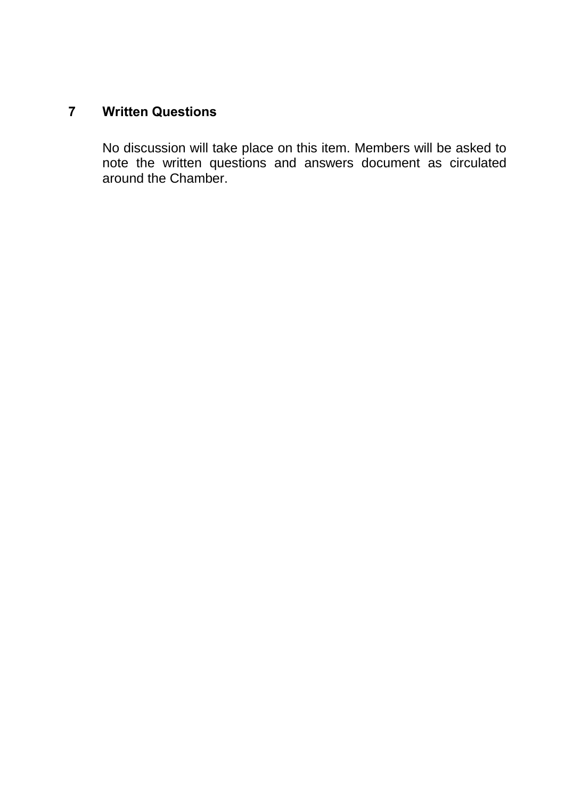## **7 Written Questions**

No discussion will take place on this item. Members will be asked to note the written questions and answers document as circulated around the Chamber.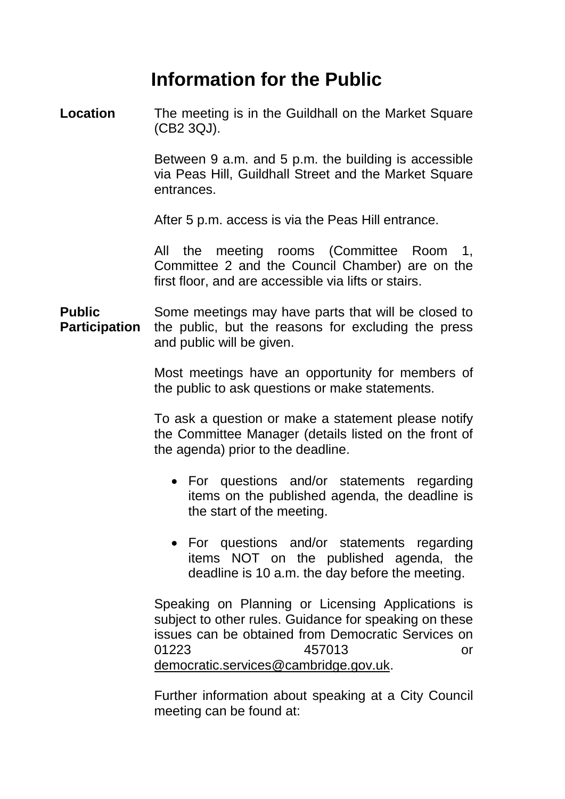# **Information for the Public**

**Location** The meeting is in the Guildhall on the Market Square (CB2 3QJ).

> Between 9 a.m. and 5 p.m. the building is accessible via Peas Hill, Guildhall Street and the Market Square entrances.

After 5 p.m. access is via the Peas Hill entrance.

All the meeting rooms (Committee Room 1, Committee 2 and the Council Chamber) are on the first floor, and are accessible via lifts or stairs.

**Public Participation** Some meetings may have parts that will be closed to the public, but the reasons for excluding the press and public will be given.

> Most meetings have an opportunity for members of the public to ask questions or make statements.

> To ask a question or make a statement please notify the Committee Manager (details listed on the front of the agenda) prior to the deadline.

- For questions and/or statements regarding items on the published agenda, the deadline is the start of the meeting.
- For questions and/or statements regarding items NOT on the published agenda, the deadline is 10 a.m. the day before the meeting.

Speaking on Planning or Licensing Applications is subject to other rules. Guidance for speaking on these issues can be obtained from Democratic Services on 01223 457013 or democratic.services@cambridge.gov.uk.

Further information about speaking at a City Council meeting can be found at: